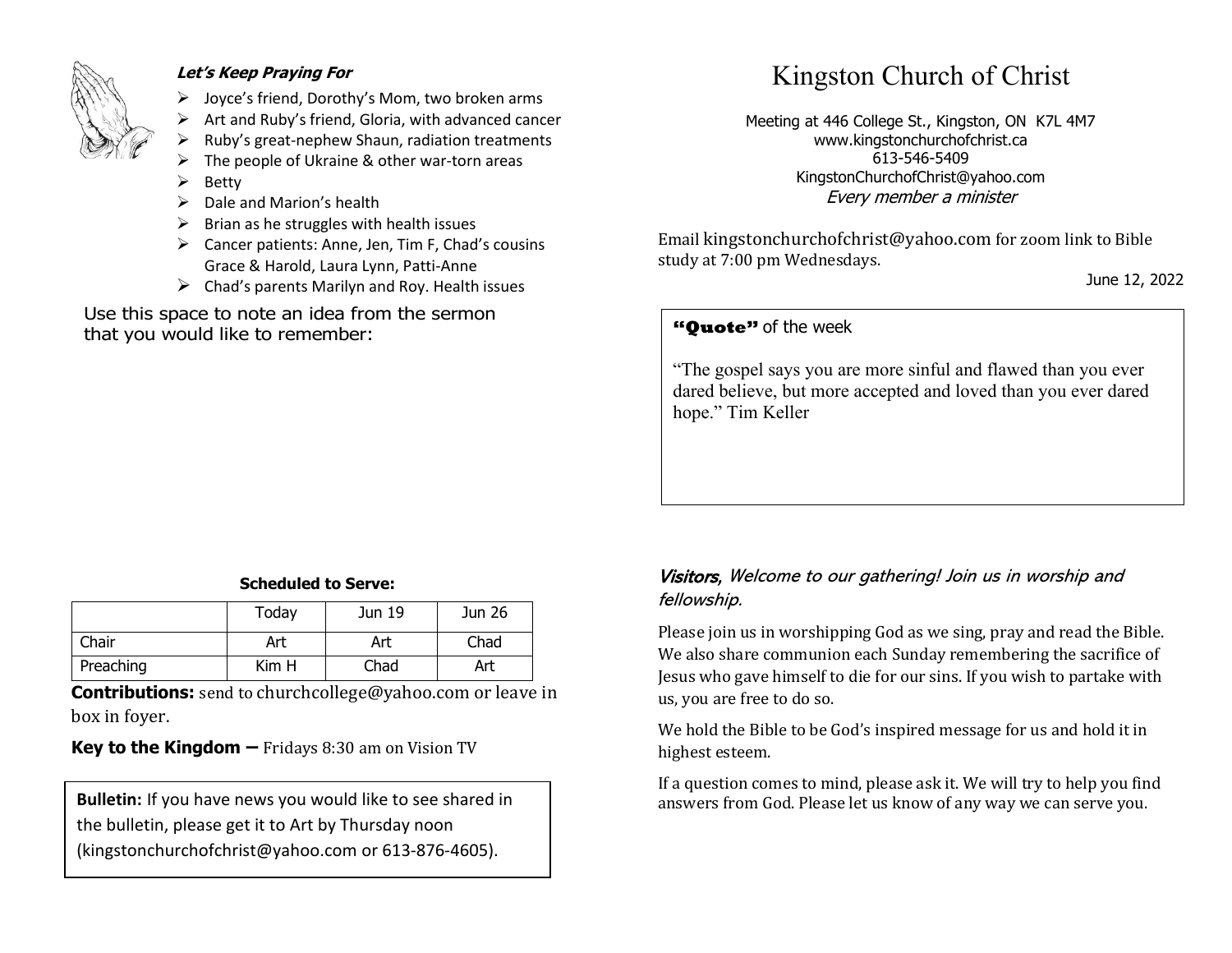

#### **Let's Keep Praying For**

- ➢ Joyce's friend, Dorothy's Mom, two broken arms
- ➢ Art and Ruby's friend, Gloria, with advanced cancer
- ➢ Ruby's great-nephew Shaun, radiation treatments
- The people of Ukraine & other war-torn areas
- ➢ Betty
- $\triangleright$  Dale and Marion's health
- $\triangleright$  Brian as he struggles with health issues
- ➢ Cancer patients: Anne, Jen, Tim F, Chad's cousins Grace & Harold, Laura Lynn, Patti-Anne
- $\triangleright$  Chad's parents Marilyn and Roy. Health issues

Use this space to note an idea from the sermon that you would like to remember:

# Kingston Church of Christ

Meeting at 446 College St., Kingston, ON K7L 4M7 www.kingstonchurchofchrist.ca 613-546-5409 KingstonChurchofChrist@yahoo.com Every member a minister

Email [kingstonchurchofchrist@yahoo.com](mailto:kingstonchurchofchrist@yahoo.com) for zoom link to Bible study at 7:00 pm Wednesdays.

June 12, 2022

## **"Quote"** of the week **"Quote"** of the week

 $\mathbb{E}$  and pays with disgrace; he promises pleasure, and pays  $\mathbb{E}$  promises pleasure, and pays  $\mathbb{E}$  pays  $\mathbb{E}$  pays  $\mathbb{E}$  pays  $\mathbb{E}$  pays  $\mathbb{E}$  pays  $\mathbb{E}$  pays  $\mathbb{E}$  pays  $\mathbb{E}$  pays  $\mathbb{E}$ "The gospel says you are more sinful and flawed than you ever dared believe, but more accepted and loved than you ever dared hope." Tim Keller

#### **Scheduled to Serve:**

|           | Today | Jun 19 | Jun 26 |
|-----------|-------|--------|--------|
| Chair     | Art   | Art    | Chad   |
| Preaching | Kim H | Chad   | Art    |

**Contributions:** send to [churchcollege@yahoo.com](mailto:churchcollege@yahoo.com) or leave in box in foyer.

**Key to the Kingdom –** Fridays 8:30 am on Vision TV

the bulletin, please get it to Art by Thursday noon (kingstonchurchofchrist@yahoo.com or 613-876-4605).

### Visitors, Welcome to our gathering! Join us in worship and fellowship.

Please join us in worshipping God as we sing, pray and read the Bible. We also share communion each Sunday remembering the sacrifice of Jesus who gave himself to die for our sins. If you wish to partake with us, you are free to do so.

We hold the Bible to be God's inspired message for us and hold it in highest esteem.

If a question comes to mind, please ask it. We will try to help you find **Bulletin:** If you have news you would like to see shared in answers from God. Please let us know of any way we can serve you.